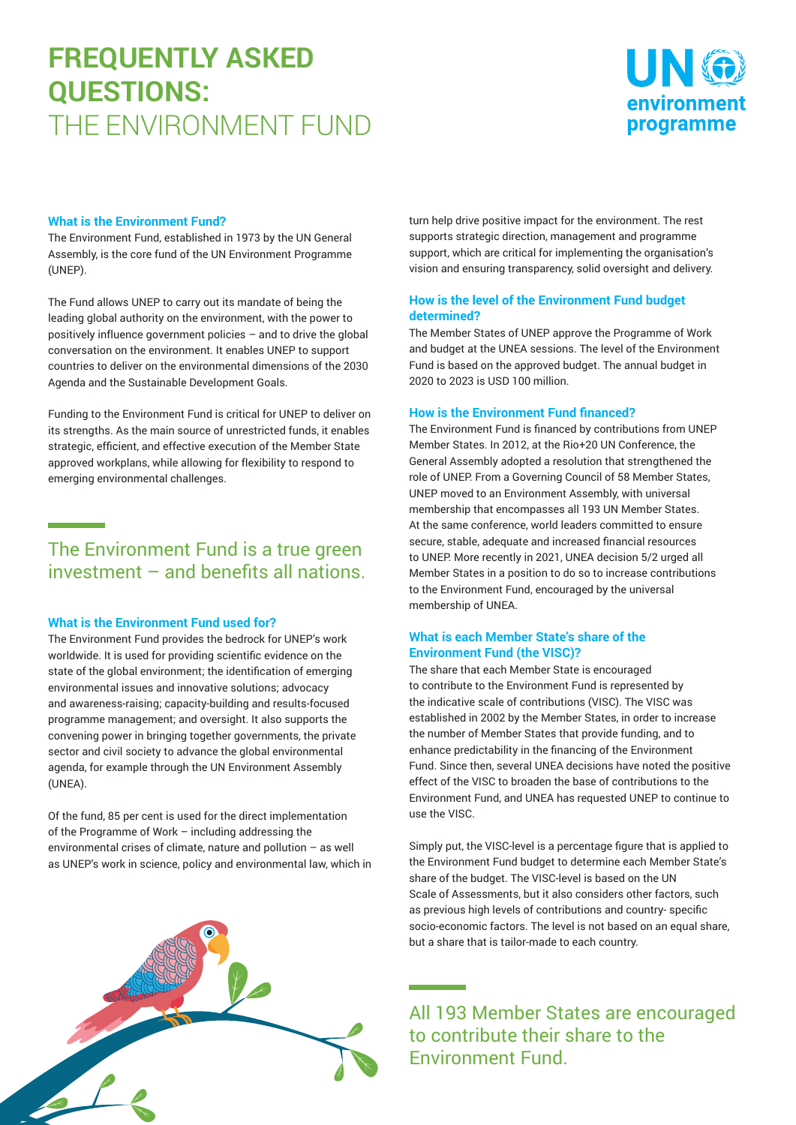# **FREQUENTLY ASKED QUESTIONS:** THE ENVIRONMENT FUND



#### **What is the Environment Fund?**

The Environment Fund, established in 1973 by the UN General Assembly, is the core fund of the UN Environment Programme (UNEP).

The Fund allows UNEP to carry out its mandate of being the leading global authority on the environment, with the power to positively influence government policies – and to drive the global conversation on the environment. It enables UNEP to support countries to deliver on the environmental dimensions of the 2030 Agenda and the Sustainable Development Goals.

Funding to the Environment Fund is critical for UNEP to deliver on its strengths. As the main source of unrestricted funds, it enables strategic, efficient, and effective execution of the Member State approved workplans, while allowing for flexibility to respond to emerging environmental challenges.

# The Environment Fund is a true green investment – and benefits all nations.

#### **What is the Environment Fund used for?**

The Environment Fund provides the bedrock for UNEP's work worldwide. It is used for providing scientific evidence on the state of the global environment; the identification of emerging environmental issues and innovative solutions; advocacy and awareness-raising; capacity-building and results-focused programme management; and oversight. It also supports the convening power in bringing together governments, the private sector and civil society to advance the global environmental agenda, for example through the UN Environment Assembly (UNEA).

Of the fund, 85 per cent is used for the direct implementation of the Programme of Work – including addressing the environmental crises of climate, nature and pollution – as well as UNEP's work in science, policy and environmental law, which in



#### **How is the level of the Environment Fund budget determined?**

The Member States of UNEP approve the Programme of Work and budget at the UNEA sessions. The level of the Environment Fund is based on the approved budget. The annual budget in 2020 to 2023 is USD 100 million.

#### **How is the Environment Fund financed?**

The Environment Fund is financed by contributions from UNEP Member States. In 2012, at the Rio+20 UN Conference, the General Assembly adopted a resolution that strengthened the role of UNEP. From a Governing Council of 58 Member States, UNEP moved to an Environment Assembly, with universal membership that encompasses all 193 UN Member States. At the same conference, world leaders committed to ensure secure, stable, adequate and increased financial resources to UNEP. More recently in 2021, UNEA decision 5/2 urged all Member States in a position to do so to increase contributions to the Environment Fund, encouraged by the universal membership of UNEA.

#### **What is each Member State's share of the Environment Fund (the VISC)?**

The share that each Member State is encouraged to contribute to the Environment Fund is represented by the indicative scale of contributions (VISC). The VISC was established in 2002 by the Member States, in order to increase the number of Member States that provide funding, and to enhance predictability in the financing of the Environment Fund. Since then, several UNEA decisions have noted the positive effect of the VISC to broaden the base of contributions to the Environment Fund, and UNEA has requested UNEP to continue to use the VISC.

Simply put, the VISC-level is a percentage figure that is applied to the Environment Fund budget to determine each Member State's share of the budget. The VISC-level is based on the UN Scale of Assessments, but it also considers other factors, such as previous high levels of contributions and country- specific socio-economic factors. The level is not based on an equal share, but a share that is tailor-made to each country.

All 193 Member States are encouraged to contribute their share to the Environment Fund.